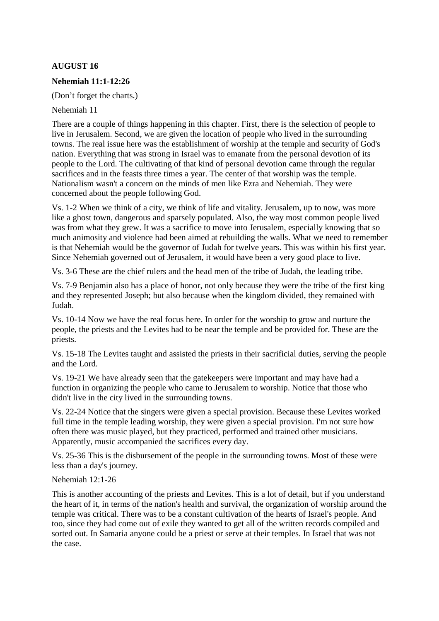# **AUGUST 16**

## **Nehemiah 11:1-12:26**

(Don't forget the charts.)

Nehemiah 11

There are a couple of things happening in this chapter. First, there is the selection of people to live in Jerusalem. Second, we are given the location of people who lived in the surrounding towns. The real issue here was the establishment of worship at the temple and security of God's nation. Everything that was strong in Israel was to emanate from the personal devotion of its people to the Lord. The cultivating of that kind of personal devotion came through the regular sacrifices and in the feasts three times a year. The center of that worship was the temple. Nationalism wasn't a concern on the minds of men like Ezra and Nehemiah. They were concerned about the people following God.

Vs. 1-2 When we think of a city, we think of life and vitality. Jerusalem, up to now, was more like a ghost town, dangerous and sparsely populated. Also, the way most common people lived was from what they grew. It was a sacrifice to move into Jerusalem, especially knowing that so much animosity and violence had been aimed at rebuilding the walls. What we need to remember is that Nehemiah would be the governor of Judah for twelve years. This was within his first year. Since Nehemiah governed out of Jerusalem, it would have been a very good place to live.

Vs. 3-6 These are the chief rulers and the head men of the tribe of Judah, the leading tribe.

Vs. 7-9 Benjamin also has a place of honor, not only because they were the tribe of the first king and they represented Joseph; but also because when the kingdom divided, they remained with Judah.

Vs. 10-14 Now we have the real focus here. In order for the worship to grow and nurture the people, the priests and the Levites had to be near the temple and be provided for. These are the priests.

Vs. 15-18 The Levites taught and assisted the priests in their sacrificial duties, serving the people and the Lord.

Vs. 19-21 We have already seen that the gatekeepers were important and may have had a function in organizing the people who came to Jerusalem to worship. Notice that those who didn't live in the city lived in the surrounding towns.

Vs. 22-24 Notice that the singers were given a special provision. Because these Levites worked full time in the temple leading worship, they were given a special provision. I'm not sure how often there was music played, but they practiced, performed and trained other musicians. Apparently, music accompanied the sacrifices every day.

Vs. 25-36 This is the disbursement of the people in the surrounding towns. Most of these were less than a day's journey.

### Nehemiah 12:1-26

This is another accounting of the priests and Levites. This is a lot of detail, but if you understand the heart of it, in terms of the nation's health and survival, the organization of worship around the temple was critical. There was to be a constant cultivation of the hearts of Israel's people. And too, since they had come out of exile they wanted to get all of the written records compiled and sorted out. In Samaria anyone could be a priest or serve at their temples. In Israel that was not the case.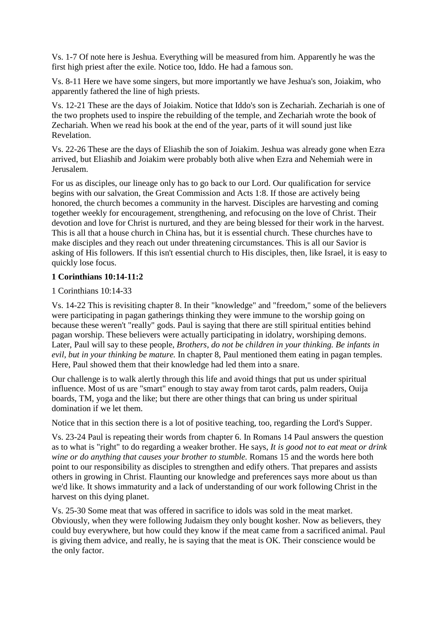Vs. 1-7 Of note here is Jeshua. Everything will be measured from him. Apparently he was the first high priest after the exile. Notice too, Iddo. He had a famous son.

Vs. 8-11 Here we have some singers, but more importantly we have Jeshua's son, Joiakim, who apparently fathered the line of high priests.

Vs. 12-21 These are the days of Joiakim. Notice that Iddo's son is Zechariah. Zechariah is one of the two prophets used to inspire the rebuilding of the temple, and Zechariah wrote the book of Zechariah. When we read his book at the end of the year, parts of it will sound just like Revelation.

Vs. 22-26 These are the days of Eliashib the son of Joiakim. Jeshua was already gone when Ezra arrived, but Eliashib and Joiakim were probably both alive when Ezra and Nehemiah were in Jerusalem.

For us as disciples, our lineage only has to go back to our Lord. Our qualification for service begins with our salvation, the Great Commission and Acts 1:8. If those are actively being honored, the church becomes a community in the harvest. Disciples are harvesting and coming together weekly for encouragement, strengthening, and refocusing on the love of Christ. Their devotion and love for Christ is nurtured, and they are being blessed for their work in the harvest. This is all that a house church in China has, but it is essential church. These churches have to make disciples and they reach out under threatening circumstances. This is all our Savior is asking of His followers. If this isn't essential church to His disciples, then, like Israel, it is easy to quickly lose focus.

### **1 Corinthians 10:14-11:2**

### 1 Corinthians 10:14-33

Vs. 14-22 This is revisiting chapter 8. In their "knowledge" and "freedom," some of the believers were participating in pagan gatherings thinking they were immune to the worship going on because these weren't "really" gods. Paul is saying that there are still spiritual entities behind pagan worship. These believers were actually participating in idolatry, worshiping demons. Later, Paul will say to these people, *Brothers, do not be children in your thinking. Be infants in evil, but in your thinking be mature.* In chapter 8, Paul mentioned them eating in pagan temples. Here, Paul showed them that their knowledge had led them into a snare.

Our challenge is to walk alertly through this life and avoid things that put us under spiritual influence. Most of us are "smart" enough to stay away from tarot cards, palm readers, Ouija boards, TM, yoga and the like; but there are other things that can bring us under spiritual domination if we let them.

Notice that in this section there is a lot of positive teaching, too, regarding the Lord's Supper.

Vs. 23-24 Paul is repeating their words from chapter 6. In Romans 14 Paul answers the question as to what is "right" to do regarding a weaker brother. He says, *It is good not to eat meat or drink wine or do anything that causes your brother to stumble.* Romans 15 and the words here both point to our responsibility as disciples to strengthen and edify others. That prepares and assists others in growing in Christ. Flaunting our knowledge and preferences says more about us than we'd like. It shows immaturity and a lack of understanding of our work following Christ in the harvest on this dying planet.

Vs. 25-30 Some meat that was offered in sacrifice to idols was sold in the meat market. Obviously, when they were following Judaism they only bought kosher. Now as believers, they could buy everywhere, but how could they know if the meat came from a sacrificed animal. Paul is giving them advice, and really, he is saying that the meat is OK. Their conscience would be the only factor.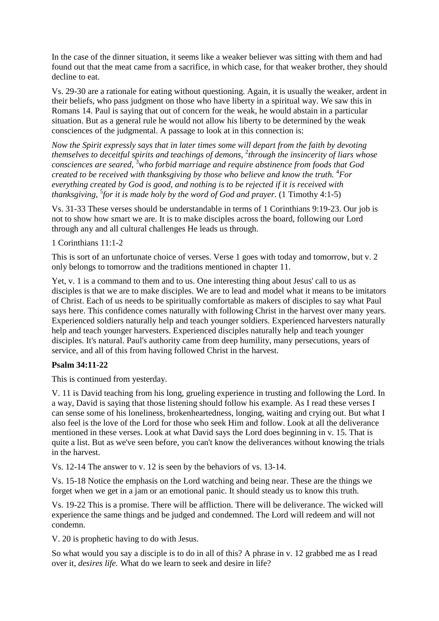In the case of the dinner situation, it seems like a weaker believer was sitting with them and had found out that the meat came from a sacrifice, in which case, for that weaker brother, they should decline to eat.

Vs. 29-30 are a rationale for eating without questioning. Again, it is usually the weaker, ardent in their beliefs, who pass judgment on those who have liberty in a spiritual way. We saw this in Romans 14. Paul is saying that out of concern for the weak, he would abstain in a particular situation. But as a general rule he would not allow his liberty to be determined by the weak consciences of the judgmental. A passage to look at in this connection is:

*Now the Spirit expressly says that in later times some will depart from the faith by devoting themselves to deceitful spirits and teachings of demons,*  2 *through the insincerity of liars whose consciences are seared,* <sup>3</sup>*who forbid marriage and require abstinence from foods that God created to be received with thanksgiving by those who believe and know the truth.* <sup>4</sup>*For everything created by God is good, and nothing is to be rejected if it is received with thanksgiving,* <sup>5</sup> *for it is made holy by the word of God and prayer.* (1 Timothy 4:1-5)

Vs. 31-33 These verses should be understandable in terms of 1 Corinthians 9:19-23. Our job is not to show how smart we are. It is to make disciples across the board, following our Lord through any and all cultural challenges He leads us through.

1 Corinthians 11:1-2

This is sort of an unfortunate choice of verses. Verse 1 goes with today and tomorrow, but v. 2 only belongs to tomorrow and the traditions mentioned in chapter 11.

Yet, v. 1 is a command to them and to us. One interesting thing about Jesus' call to us as disciples is that we are to make disciples. We are to lead and model what it means to be imitators of Christ. Each of us needs to be spiritually comfortable as makers of disciples to say what Paul says here. This confidence comes naturally with following Christ in the harvest over many years. Experienced soldiers naturally help and teach younger soldiers. Experienced harvesters naturally help and teach younger harvesters. Experienced disciples naturally help and teach younger disciples. It's natural. Paul's authority came from deep humility, many persecutions, years of service, and all of this from having followed Christ in the harvest.

## **Psalm 34:11-22**

This is continued from yesterday.

V. 11 is David teaching from his long, grueling experience in trusting and following the Lord. In a way, David is saying that those listening should follow his example. As I read these verses I can sense some of his loneliness, brokenheartedness, longing, waiting and crying out. But what I also feel is the love of the Lord for those who seek Him and follow. Look at all the deliverance mentioned in these verses. Look at what David says the Lord does beginning in v. 15. That is quite a list. But as we've seen before, you can't know the deliverances without knowing the trials in the harvest.

Vs. 12-14 The answer to v. 12 is seen by the behaviors of vs. 13-14.

Vs. 15-18 Notice the emphasis on the Lord watching and being near. These are the things we forget when we get in a jam or an emotional panic. It should steady us to know this truth.

Vs. 19-22 This is a promise. There will be affliction. There will be deliverance. The wicked will experience the same things and be judged and condemned. The Lord will redeem and will not condemn.

V. 20 is prophetic having to do with Jesus.

So what would you say a disciple is to do in all of this? A phrase in v. 12 grabbed me as I read over it, *desires life.* What do we learn to seek and desire in life?